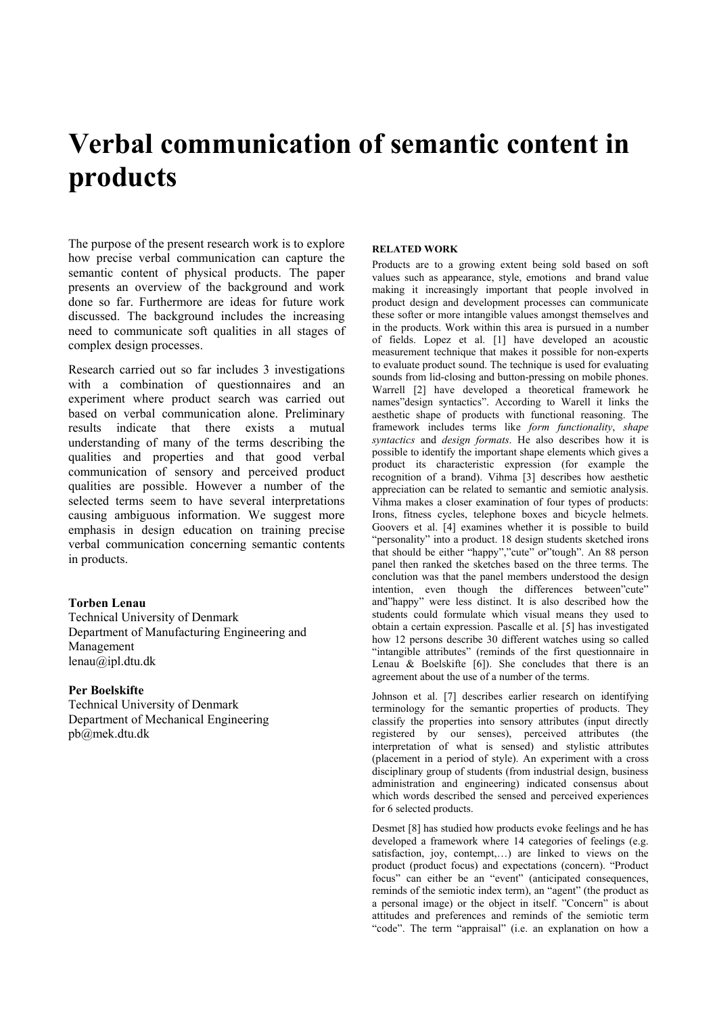# **Verbal communication of semantic content in products**

The purpose of the present research work is to explore how precise verbal communication can capture the semantic content of physical products. The paper presents an overview of the background and work done so far. Furthermore are ideas for future work discussed. The background includes the increasing need to communicate soft qualities in all stages of complex design processes.

Research carried out so far includes 3 investigations with a combination of questionnaires and an experiment where product search was carried out based on verbal communication alone. Preliminary results indicate that there exists a mutual understanding of many of the terms describing the qualities and properties and that good verbal communication of sensory and perceived product qualities are possible. However a number of the selected terms seem to have several interpretations causing ambiguous information. We suggest more emphasis in design education on training precise verbal communication concerning semantic contents in products.

## **Torben Lenau**

Technical University of Denmark Department of Manufacturing Engineering and Management lenau@ipl.dtu.dk

## **Per Boelskifte**

Technical University of Denmark Department of Mechanical Engineering pb@mek.dtu.dk

#### **RELATED WORK**

Products are to a growing extent being sold based on soft values such as appearance, style, emotions and brand value making it increasingly important that people involved in product design and development processes can communicate these softer or more intangible values amongst themselves and in the products. Work within this area is pursued in a number of fields. Lopez et al. [1] have developed an acoustic measurement technique that makes it possible for non-experts to evaluate product sound. The technique is used for evaluating sounds from lid-closing and button-pressing on mobile phones. Warrell [2] have developed a theoretical framework he names"design syntactics". According to Warell it links the aesthetic shape of products with functional reasoning. The framework includes terms like *form functionality*, *shape syntactics* and *design formats*. He also describes how it is possible to identify the important shape elements which gives a product its characteristic expression (for example the recognition of a brand). Vihma [3] describes how aesthetic appreciation can be related to semantic and semiotic analysis. Vihma makes a closer examination of four types of products: Irons, fitness cycles, telephone boxes and bicycle helmets. Goovers et al. [4] examines whether it is possible to build "personality" into a product. 18 design students sketched irons that should be either "happy","cute" or"tough". An 88 person panel then ranked the sketches based on the three terms. The conclution was that the panel members understood the design intention, even though the differences between"cute" and"happy" were less distinct. It is also described how the students could formulate which visual means they used to obtain a certain expression. Pascalle et al. [5] has investigated how 12 persons describe 30 different watches using so called "intangible attributes" (reminds of the first questionnaire in Lenau  $\&$  Boelskifte [6]). She concludes that there is an agreement about the use of a number of the terms.

Johnson et al. [7] describes earlier research on identifying terminology for the semantic properties of products. They classify the properties into sensory attributes (input directly registered by our senses), perceived attributes (the interpretation of what is sensed) and stylistic attributes (placement in a period of style). An experiment with a cross disciplinary group of students (from industrial design, business administration and engineering) indicated consensus about which words described the sensed and perceived experiences for 6 selected products.

Desmet [8] has studied how products evoke feelings and he has developed a framework where 14 categories of feelings (e.g. satisfaction, joy, contempt,…) are linked to views on the product (product focus) and expectations (concern). "Product focus" can either be an "event" (anticipated consequences, reminds of the semiotic index term), an "agent" (the product as a personal image) or the object in itself. "Concern" is about attitudes and preferences and reminds of the semiotic term "code". The term "appraisal" (i.e. an explanation on how a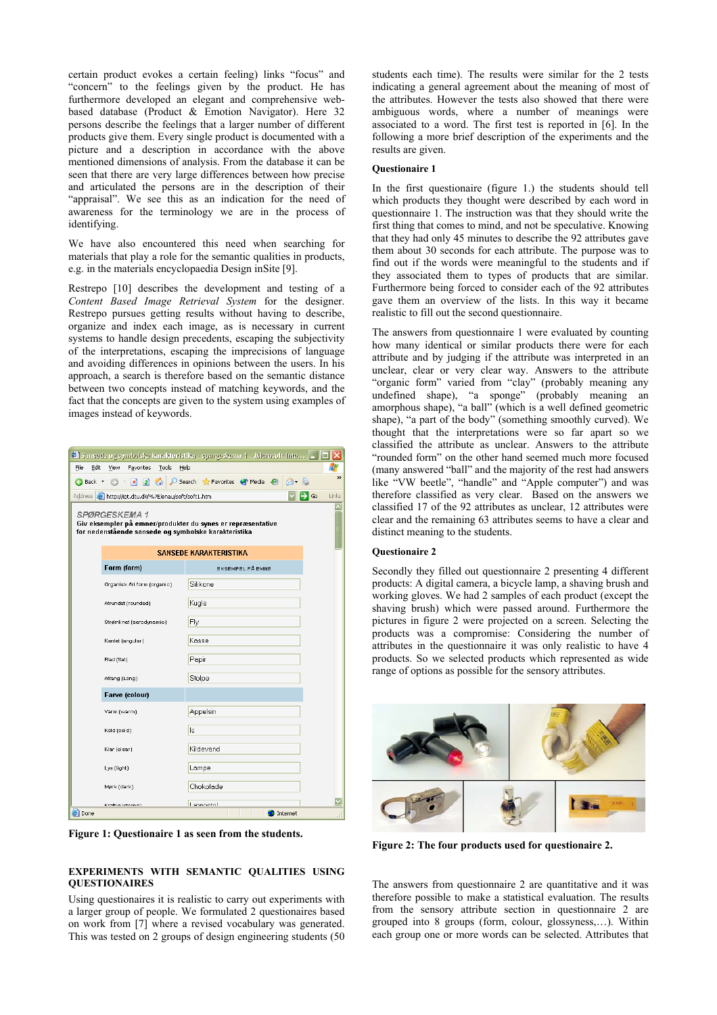certain product evokes a certain feeling) links "focus" and "concern" to the feelings given by the product. He has furthermore developed an elegant and comprehensive webbased database (Product & Emotion Navigator). Here 32 persons describe the feelings that a larger number of different products give them. Every single product is documented with a picture and a description in accordance with the above mentioned dimensions of analysis. From the database it can be seen that there are very large differences between how precise and articulated the persons are in the description of their "appraisal". We see this as an indication for the need of awareness for the terminology we are in the process of identifying.

We have also encountered this need when searching for materials that play a role for the semantic qualities in products, e.g. in the materials encyclopaedia Design inSite [9].

Restrepo [10] describes the development and testing of a *Content Based Image Retrieval System* for the designer. Restrepo pursues getting results without having to describe, organize and index each image, as is necessary in current systems to handle design precedents, escaping the subjectivity of the interpretations, escaping the imprecisions of language and avoiding differences in opinions between the users. In his approach, a search is therefore based on the semantic distance between two concepts instead of matching keywords, and the fact that the concepts are given to the system using examples of images instead of keywords.

|                                                                                                                                                                         |                                    | $\bullet$ Sansede og symbolske karakteristika - spørgeskema 1 - Microsoft Inte $ -  \Box $ |               |  |  |  |  |
|-------------------------------------------------------------------------------------------------------------------------------------------------------------------------|------------------------------------|--------------------------------------------------------------------------------------------|---------------|--|--|--|--|
| Edit<br>File                                                                                                                                                            | View<br>Favorites<br>Tools<br>Help |                                                                                            | 4             |  |  |  |  |
|                                                                                                                                                                         |                                    | 6 B                                                                                        | $\rightarrow$ |  |  |  |  |
| Address <b>@</b> http://ipt.dtu.dk/%7Elenau/soft/soft1.htm<br>$\Rightarrow$ Go<br>Links                                                                                 |                                    |                                                                                            |               |  |  |  |  |
| $\overline{\phantom{a}}$<br><b>SPØRGESKEMA 1</b><br>Giv eksempler på emner/produkter du synes er repræsentative<br>for nedenstående sansede og symbolske karakteristika |                                    |                                                                                            |               |  |  |  |  |
|                                                                                                                                                                         | <b>SANSEDE KARAKTERISTIKA</b>      |                                                                                            |               |  |  |  |  |
|                                                                                                                                                                         | Form (form)                        | <b>EKSEMPEL PÅ EMNE</b>                                                                    |               |  |  |  |  |
|                                                                                                                                                                         | Organisk Ari form (organic)        | Silikone                                                                                   |               |  |  |  |  |
|                                                                                                                                                                         | Afrundet (rounded)                 | Kugle                                                                                      |               |  |  |  |  |
|                                                                                                                                                                         | Strømlinet (aerodynamic)           | Fly                                                                                        |               |  |  |  |  |
|                                                                                                                                                                         | Kantet (angular)                   | Kasse                                                                                      |               |  |  |  |  |
|                                                                                                                                                                         | Flad (flat)                        | Papir                                                                                      |               |  |  |  |  |
|                                                                                                                                                                         | Aflang (Long)                      | Stolpe                                                                                     |               |  |  |  |  |
|                                                                                                                                                                         | Farve (colour)                     |                                                                                            |               |  |  |  |  |
|                                                                                                                                                                         | Varm (warm)                        | Appelsin                                                                                   |               |  |  |  |  |
|                                                                                                                                                                         | Kold (cold)                        | ls                                                                                         |               |  |  |  |  |
|                                                                                                                                                                         | Klar (clear)                       | Kildevand                                                                                  |               |  |  |  |  |
|                                                                                                                                                                         | Lys (light)                        | Lampe                                                                                      |               |  |  |  |  |
|                                                                                                                                                                         | Mørk (dark)                        | Chokolade                                                                                  |               |  |  |  |  |
| e <sup>1</sup> Done                                                                                                                                                     | Kenilia (Henna)                    | <b>Lannoctol</b><br><b>O</b> Internet                                                      |               |  |  |  |  |

**Figure 1: Questionaire 1 as seen from the students.** 

### **EXPERIMENTS WITH SEMANTIC QUALITIES USING QUESTIONAIRES**

Using questionaires it is realistic to carry out experiments with a larger group of people. We formulated 2 questionaires based on work from [7] where a revised vocabulary was generated. This was tested on 2 groups of design engineering students (50 students each time). The results were similar for the 2 tests indicating a general agreement about the meaning of most of the attributes. However the tests also showed that there were ambiguous words, where a number of meanings were associated to a word. The first test is reported in [6]. In the following a more brief description of the experiments and the results are given.

## **Questionaire 1**

In the first questionaire (figure 1.) the students should tell which products they thought were described by each word in questionnaire 1. The instruction was that they should write the first thing that comes to mind, and not be speculative. Knowing that they had only 45 minutes to describe the 92 attributes gave them about 30 seconds for each attribute. The purpose was to find out if the words were meaningful to the students and if they associated them to types of products that are similar. Furthermore being forced to consider each of the 92 attributes gave them an overview of the lists. In this way it became realistic to fill out the second questionnaire.

The answers from questionnaire 1 were evaluated by counting how many identical or similar products there were for each attribute and by judging if the attribute was interpreted in an unclear, clear or very clear way. Answers to the attribute "organic form" varied from "clay" (probably meaning any undefined shape), "a sponge" (probably meaning an amorphous shape), "a ball" (which is a well defined geometric shape), "a part of the body" (something smoothly curved). We thought that the interpretations were so far apart so we classified the attribute as unclear. Answers to the attribute "rounded form" on the other hand seemed much more focused (many answered "ball" and the majority of the rest had answers like "VW beetle", "handle" and "Apple computer") and was therefore classified as very clear. Based on the answers we classified 17 of the 92 attributes as unclear, 12 attributes were clear and the remaining 63 attributes seems to have a clear and distinct meaning to the students.

#### **Questionaire 2**

Secondly they filled out questionnaire 2 presenting 4 different products: A digital camera, a bicycle lamp, a shaving brush and working gloves. We had 2 samples of each product (except the shaving brush) which were passed around. Furthermore the pictures in figure 2 were projected on a screen. Selecting the products was a compromise: Considering the number of attributes in the questionnaire it was only realistic to have 4 products. So we selected products which represented as wide range of options as possible for the sensory attributes.



**Figure 2: The four products used for questionaire 2.** 

The answers from questionnaire 2 are quantitative and it was therefore possible to make a statistical evaluation. The results from the sensory attribute section in questionnaire 2 are grouped into 8 groups (form, colour, glossyness,…). Within each group one or more words can be selected. Attributes that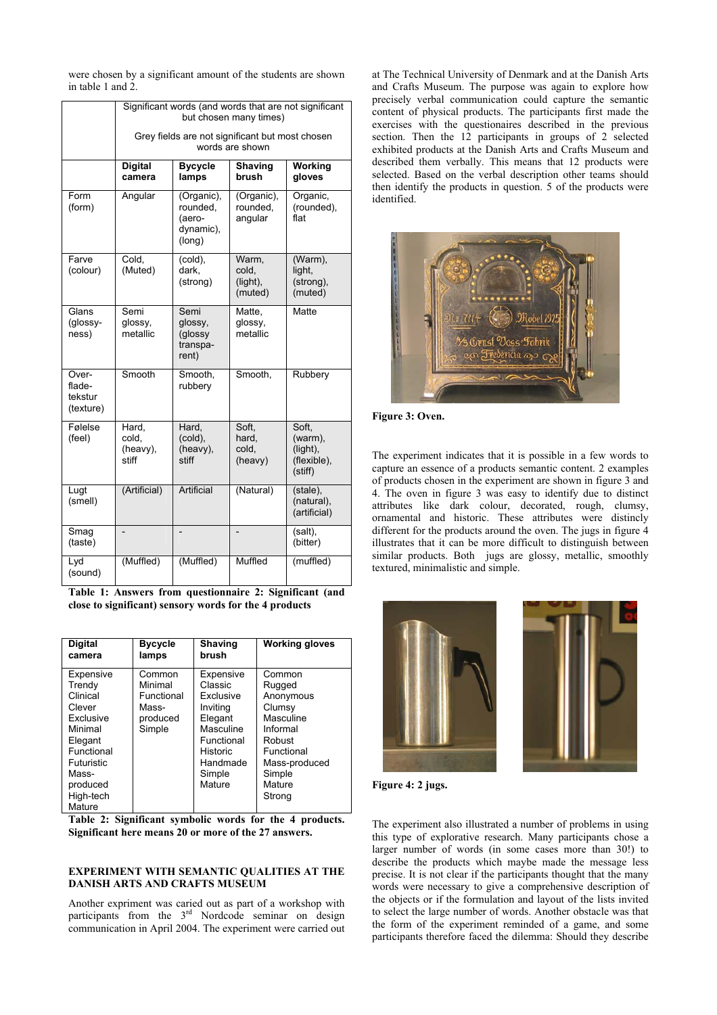were chosen by a significant amount of the students are shown in table 1 and 2.

|                                         | Significant words (and words that are not significant<br>but chosen many times) |                                                         |                                       |                                                        |  |
|-----------------------------------------|---------------------------------------------------------------------------------|---------------------------------------------------------|---------------------------------------|--------------------------------------------------------|--|
|                                         | Grey fields are not significant but most chosen<br>words are shown              |                                                         |                                       |                                                        |  |
|                                         | <b>Digital</b><br>camera                                                        | <b>Bycycle</b><br>lamps                                 | Shaving<br>brush                      | Working<br>gloves                                      |  |
| Form<br>(form)                          | Angular                                                                         | (Organic),<br>rounded.<br>(aero-<br>dynamic),<br>(long) | (Organic),<br>rounded.<br>angular     | Organic,<br>(rounded).<br>flat                         |  |
| Farve<br>(colour)                       | Cold.<br>(Muted)                                                                | (cold),<br>dark,<br>(strong)                            | Warm,<br>cold,<br>(light),<br>(muted) | (Warm),<br>light,<br>(strong),<br>(muted)              |  |
| Glans<br>(glossy-<br>ness)              | Semi<br>glossy,<br>metallic                                                     | Semi<br>glossy,<br>(glossy<br>transpa-<br>rent)         | Matte,<br>glossy,<br>metallic         | Matte                                                  |  |
| Over-<br>flade-<br>tekstur<br>(texture) | Smooth                                                                          | Smooth,<br>rubbery                                      | Smooth,                               | Rubbery                                                |  |
| Følelse<br>(feel)                       | Hard,<br>cold.<br>(heavy),<br>stiff                                             | Hard,<br>(cold),<br>(heavy),<br>stiff                   | Soft.<br>hard.<br>cold,<br>(heavy)    | Soft.<br>(warm),<br>(light),<br>(flexible),<br>(stiff) |  |
| Lugt<br>(smell)                         | (Artificial)                                                                    | Artificial                                              | (Natural)                             | (stale),<br>(natural),<br>(artificial)                 |  |
| $\overline{S}$ mag<br>(taste)           |                                                                                 |                                                         | $\overline{a}$                        | (salt),<br>(bitter)                                    |  |
| Lyd<br>(sound)                          | (Muffled)                                                                       | (Muffled)                                               | Muffled                               | (muffled)                                              |  |

**Table 1: Answers from questionnaire 2: Significant (and close to significant) sensory words for the 4 products** 

| <b>Digital</b>                                                                                                                                       | <b>Bycycle</b>                                                 | <b>Shaving</b>                                                                                                                  | <b>Working gloves</b>                                                                                                                   |
|------------------------------------------------------------------------------------------------------------------------------------------------------|----------------------------------------------------------------|---------------------------------------------------------------------------------------------------------------------------------|-----------------------------------------------------------------------------------------------------------------------------------------|
| camera                                                                                                                                               | lamps                                                          | brush                                                                                                                           |                                                                                                                                         |
| Expensive<br>Trendy<br>Clinical<br>Clever<br>Exclusive<br>Minimal<br>Elegant<br>Functional<br>Futuristic<br>Mass-<br>produced<br>High-tech<br>Mature | Common<br>Minimal<br>Functional<br>Mass-<br>produced<br>Simple | Expensive<br>Classic<br>Exclusive<br>Inviting<br>Elegant<br>Masculine<br>Functional<br>Historic<br>Handmade<br>Simple<br>Mature | Common<br>Rugged<br>Anonymous<br>Clumsy<br>Masculine<br>Informal<br>Robust<br>Functional<br>Mass-produced<br>Simple<br>Mature<br>Strong |

**Table 2: Significant symbolic words for the 4 products. Significant here means 20 or more of the 27 answers.** 

## **EXPERIMENT WITH SEMANTIC QUALITIES AT THE DANISH ARTS AND CRAFTS MUSEUM**

Another expriment was caried out as part of a workshop with participants from the 3<sup>rd</sup> Nordcode seminar on design communication in April 2004. The experiment were carried out at The Technical University of Denmark and at the Danish Arts and Crafts Museum. The purpose was again to explore how precisely verbal communication could capture the semantic content of physical products. The participants first made the exercises with the questionaires described in the previous section. Then the 12 participants in groups of 2 selected exhibited products at the Danish Arts and Crafts Museum and described them verbally. This means that 12 products were selected. Based on the verbal description other teams should then identify the products in question. 5 of the products were identified.



**Figure 3: Oven.** 

The experiment indicates that it is possible in a few words to capture an essence of a products semantic content. 2 examples of products chosen in the experiment are shown in figure 3 and 4. The oven in figure 3 was easy to identify due to distinct attributes like dark colour, decorated, rough, clumsy, ornamental and historic. These attributes were distincly different for the products around the oven. The jugs in figure 4 illustrates that it can be more difficult to distinguish between similar products. Both jugs are glossy, metallic, smoothly textured, minimalistic and simple.



**Figure 4: 2 jugs.** 

The experiment also illustrated a number of problems in using this type of explorative research. Many participants chose a larger number of words (in some cases more than 30!) to describe the products which maybe made the message less precise. It is not clear if the participants thought that the many words were necessary to give a comprehensive description of the objects or if the formulation and layout of the lists invited to select the large number of words. Another obstacle was that the form of the experiment reminded of a game, and some participants therefore faced the dilemma: Should they describe